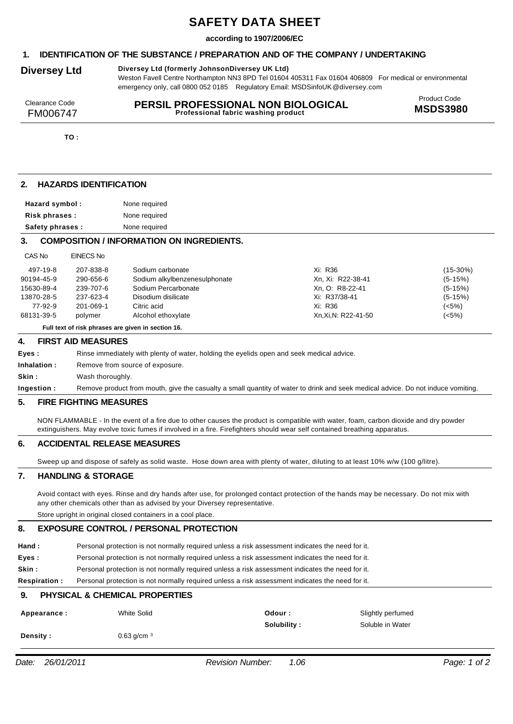# **SAFETY DATA SHEET**

### **according to 1907/2006/EC**

# **1. IDENTIFICATION OF THE SUBSTANCE / PREPARATION AND OF THE COMPANY / UNDERTAKING**

### **Diversey Ltd Diversey Ltd (formerly JohnsonDiversey UK Ltd)**

Weston Favell Centre Northampton NN3 8PD Tel 01604 405311 Fax 01604 406809 For medical or environmental emergency only, call 0800 052 0185 Regulatory Email: MSDSinfoUK*@*diversey.com

| Clearance Code | PERSIL PROFESSIONAL NON BIOLOGICAL  | Product Code    |
|----------------|-------------------------------------|-----------------|
| FM006747       | Professional fabric washing product | <b>MSDS3980</b> |
|                |                                     |                 |

**TO :**

# **2. HAZARDS IDENTIFICATION**

| Hazard symbol:   | None required |
|------------------|---------------|
| Risk phrases:    | None required |
| Safety phrases : | None required |

# **3. COMPOSITION / INFORMATION ON INGREDIENTS.**

| ---        | -------   |                               |                    |             |
|------------|-----------|-------------------------------|--------------------|-------------|
| 497-19-8   | 207-838-8 | Sodium carbonate              | Xi: R36            | $(15-30\%)$ |
| 90194-45-9 | 290-656-6 | Sodium alkylbenzenesulphonate | Xn. Xi: R22-38-41  | $(5-15%)$   |
| 15630-89-4 | 239-707-6 | Sodium Percarbonate           | Xn, O: R8-22-41    | $(5-15%)$   |
| 13870-28-5 | 237-623-4 | Disodium disilicate           | Xi: R37/38-41      | $(5-15%)$   |
| 77-92-9    | 201-069-1 | Citric acid                   | Xi: R36            | (<5%)       |
| 68131-39-5 | polymer   | Alcohol ethoxylate            | Xn.Xi.N: R22-41-50 | (<5%)       |
|            |           |                               |                    |             |

**Full text of risk phrases are given in section 16.**

#### **4. FIRST AID MEASURES**

CAS No EINECS No

| Eves :       | Rinse immediately with plenty of water, holding the eyelids open and seek medical advice.                                        |
|--------------|----------------------------------------------------------------------------------------------------------------------------------|
| Inhalation : | Remove from source of exposure.                                                                                                  |
| Skin :       | Wash thoroughly.                                                                                                                 |
| Ingestion :  | Remove product from mouth, give the casualty a small quantity of water to drink and seek medical advice. Do not induce vomiting. |
|              |                                                                                                                                  |

#### **5. FIRE FIGHTING MEASURES**

NON FLAMMABLE - In the event of a fire due to other causes the product is compatible with water, foam, carbon dioxide and dry powder extinguishers. May evolve toxic fumes if involved in a fire. Firefighters should wear self contained breathing apparatus.

# **6. ACCIDENTAL RELEASE MEASURES**

Sweep up and dispose of safely as solid waste. Hose down area with plenty of water, diluting to at least 10% w/w (100 g/litre).

#### **7. HANDLING & STORAGE**

Avoid contact with eyes. Rinse and dry hands after use, for prolonged contact protection of the hands may be necessary. Do not mix with any other chemicals other than as advised by your Diversey representative.

Store upright in original closed containers in a cool place.

#### **8. EXPOSURE CONTROL / PERSONAL PROTECTION**

| Hand: | Personal protection is not normally required unless a risk assessment indicates the need for it. |
|-------|--------------------------------------------------------------------------------------------------|
| Eyes: | Personal protection is not normally required unless a risk assessment indicates the need for it. |

**Skin :** Personal protection is not normally required unless a risk assessment indicates the need for it.

**Respiration :** Personal protection is not normally required unless a risk assessment indicates the need for it.

# **9. PHYSICAL & CHEMICAL PROPERTIES**

| Appearance : | White Solid  | Odour :     | Slightly perfumed |
|--------------|--------------|-------------|-------------------|
|              |              | Solubility: | Soluble in Water  |
| Density :    | 0.63 $q/cm3$ |             |                   |